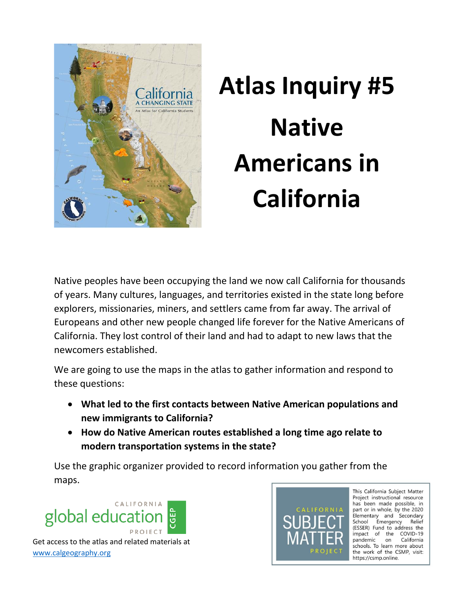

## **Atlas Inquiry #5 Native Americans in California**

Native peoples have been occupying the land we now call California for thousands of years. Many cultures, languages, and territories existed in the state long before explorers, missionaries, miners, and settlers came from far away. The arrival of Europeans and other new people changed life forever for the Native Americans of California. They lost control of their land and had to adapt to new laws that the newcomers established.

We are going to use the maps in the atlas to gather information and respond to these questions:

- **What led to the first contacts between Native American populations and new immigrants to California?**
- **How do Native American routes established a long time ago relate to modern transportation systems in the state?**

Use the graphic organizer provided to record information you gather from the maps.





This California Subject Matter Project instructional resource has been made possible, in part or in whole, by the 2020 Elementary and Secondary School Emergency Relief (ESSER) Fund to address the impact of the COVID-19 pandemic on California schools. To learn more about the work of the CSMP, visit: https://csmp.online.

Get access to the atlas and related materials at [www.calgeography.org](http://www.calgeography.org/)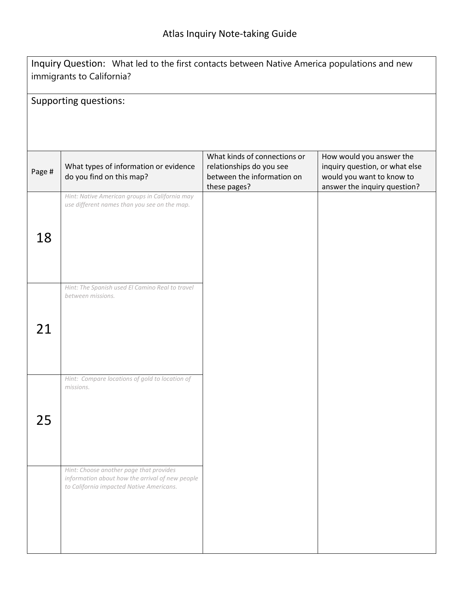| Inquiry Question: What led to the first contacts between Native America populations and new<br>immigrants to California? |                                                                                                                                        |                                                                                                        |                                                                                                                         |  |  |
|--------------------------------------------------------------------------------------------------------------------------|----------------------------------------------------------------------------------------------------------------------------------------|--------------------------------------------------------------------------------------------------------|-------------------------------------------------------------------------------------------------------------------------|--|--|
| Supporting questions:                                                                                                    |                                                                                                                                        |                                                                                                        |                                                                                                                         |  |  |
|                                                                                                                          |                                                                                                                                        |                                                                                                        |                                                                                                                         |  |  |
|                                                                                                                          |                                                                                                                                        |                                                                                                        |                                                                                                                         |  |  |
| Page #                                                                                                                   | What types of information or evidence<br>do you find on this map?                                                                      | What kinds of connections or<br>relationships do you see<br>between the information on<br>these pages? | How would you answer the<br>inquiry question, or what else<br>would you want to know to<br>answer the inquiry question? |  |  |
|                                                                                                                          | Hint: Native American groups in California may<br>use different names than you see on the map.                                         |                                                                                                        |                                                                                                                         |  |  |
|                                                                                                                          |                                                                                                                                        |                                                                                                        |                                                                                                                         |  |  |
| 18                                                                                                                       |                                                                                                                                        |                                                                                                        |                                                                                                                         |  |  |
|                                                                                                                          |                                                                                                                                        |                                                                                                        |                                                                                                                         |  |  |
|                                                                                                                          | Hint: The Spanish used El Camino Real to travel<br>between missions.                                                                   |                                                                                                        |                                                                                                                         |  |  |
|                                                                                                                          |                                                                                                                                        |                                                                                                        |                                                                                                                         |  |  |
| 21                                                                                                                       |                                                                                                                                        |                                                                                                        |                                                                                                                         |  |  |
|                                                                                                                          |                                                                                                                                        |                                                                                                        |                                                                                                                         |  |  |
|                                                                                                                          | Hint: Compare locations of gold to location of<br>missions.                                                                            |                                                                                                        |                                                                                                                         |  |  |
|                                                                                                                          |                                                                                                                                        |                                                                                                        |                                                                                                                         |  |  |
| 25                                                                                                                       |                                                                                                                                        |                                                                                                        |                                                                                                                         |  |  |
|                                                                                                                          |                                                                                                                                        |                                                                                                        |                                                                                                                         |  |  |
|                                                                                                                          | Hint: Choose another page that provides<br>information about how the arrival of new people<br>to California impacted Native Americans. |                                                                                                        |                                                                                                                         |  |  |
|                                                                                                                          |                                                                                                                                        |                                                                                                        |                                                                                                                         |  |  |
|                                                                                                                          |                                                                                                                                        |                                                                                                        |                                                                                                                         |  |  |
|                                                                                                                          |                                                                                                                                        |                                                                                                        |                                                                                                                         |  |  |